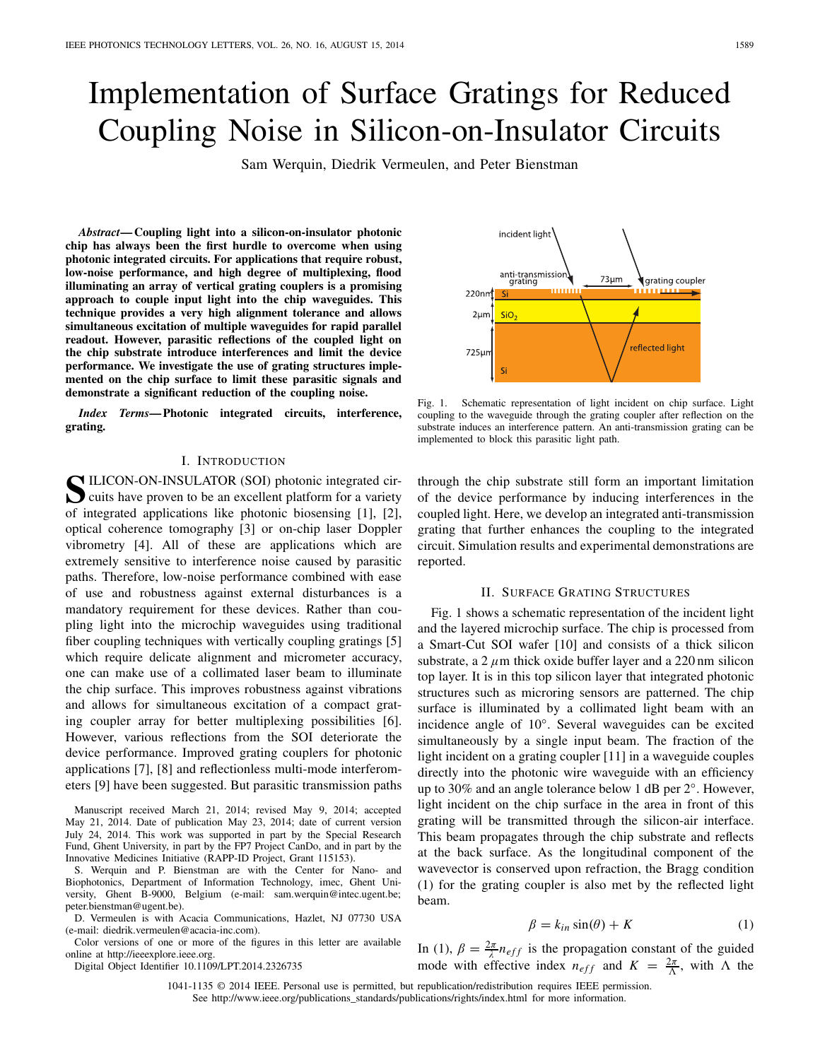# Implementation of Surface Gratings for Reduced Coupling Noise in Silicon-on-Insulator Circuits

Sam Werquin, Diedrik Vermeulen, and Peter Bienstman

*Abstract***— Coupling light into a silicon-on-insulator photonic chip has always been the first hurdle to overcome when using photonic integrated circuits. For applications that require robust, low-noise performance, and high degree of multiplexing, flood illuminating an array of vertical grating couplers is a promising approach to couple input light into the chip waveguides. This technique provides a very high alignment tolerance and allows simultaneous excitation of multiple waveguides for rapid parallel readout. However, parasitic reflections of the coupled light on the chip substrate introduce interferences and limit the device performance. We investigate the use of grating structures implemented on the chip surface to limit these parasitic signals and demonstrate a significant reduction of the coupling noise.**

*Index Terms***— Photonic integrated circuits, interference, grating.**

## I. INTRODUCTION

**S**ILICON-ON-INSULATOR (SOI) photonic integrated circuits have proven to be an excellent platform for a variety of integrated applications like photonic biosensing [1], [2], optical coherence tomography [3] or on-chip laser Doppler vibrometry [4]. All of these are applications which are extremely sensitive to interference noise caused by parasitic paths. Therefore, low-noise performance combined with ease of use and robustness against external disturbances is a mandatory requirement for these devices. Rather than coupling light into the microchip waveguides using traditional fiber coupling techniques with vertically coupling gratings [5] which require delicate alignment and micrometer accuracy, one can make use of a collimated laser beam to illuminate the chip surface. This improves robustness against vibrations and allows for simultaneous excitation of a compact grating coupler array for better multiplexing possibilities [6]. However, various reflections from the SOI deteriorate the device performance. Improved grating couplers for photonic applications [7], [8] and reflectionless multi-mode interferometers [9] have been suggested. But parasitic transmission paths

Manuscript received March 21, 2014; revised May 9, 2014; accepted May 21, 2014. Date of publication May 23, 2014; date of current version July 24, 2014. This work was supported in part by the Special Research Fund, Ghent University, in part by the FP7 Project CanDo, and in part by the Innovative Medicines Initiative (RAPP-ID Project, Grant 115153).

S. Werquin and P. Bienstman are with the Center for Nano- and Biophotonics, Department of Information Technology, imec, Ghent University, Ghent B-9000, Belgium (e-mail: sam.werquin@intec.ugent.be; peter.bienstman@ugent.be).

D. Vermeulen is with Acacia Communications, Hazlet, NJ 07730 USA (e-mail: diedrik.vermeulen@acacia-inc.com).

Color versions of one or more of the figures in this letter are available online at http://ieeexplore.ieee.org.

Digital Object Identifier 10.1109/LPT.2014.2326735

incident light anti-transmission<br>grating  $73 \mu m$ grating coupler 220nm . . . . . .  $2<sub>\mu</sub>r$  $SiO<sub>2</sub>$ reflected light 725µ

Fig. 1. Schematic representation of light incident on chip surface. Light coupling to the waveguide through the grating coupler after reflection on the substrate induces an interference pattern. An anti-transmission grating can be implemented to block this parasitic light path.

through the chip substrate still form an important limitation of the device performance by inducing interferences in the coupled light. Here, we develop an integrated anti-transmission grating that further enhances the coupling to the integrated circuit. Simulation results and experimental demonstrations are reported.

#### II. SURFACE GRATING STRUCTURES

Fig. 1 shows a schematic representation of the incident light and the layered microchip surface. The chip is processed from a Smart-Cut SOI wafer [10] and consists of a thick silicon substrate, a 2  $\mu$ m thick oxide buffer layer and a 220 nm silicon top layer. It is in this top silicon layer that integrated photonic structures such as microring sensors are patterned. The chip surface is illuminated by a collimated light beam with an incidence angle of 10◦. Several waveguides can be excited simultaneously by a single input beam. The fraction of the light incident on a grating coupler [11] in a waveguide couples directly into the photonic wire waveguide with an efficiency up to 30% and an angle tolerance below 1 dB per 2◦. However, light incident on the chip surface in the area in front of this grating will be transmitted through the silicon-air interface. This beam propagates through the chip substrate and reflects at the back surface. As the longitudinal component of the wavevector is conserved upon refraction, the Bragg condition (1) for the grating coupler is also met by the reflected light beam.

$$
\beta = k_{in} \sin(\theta) + K \tag{1}
$$

In (1),  $\beta = \frac{2\pi}{\lambda} n_{eff}$  is the propagation constant of the guided mode with effective index  $n_{eff}$  and  $K = \frac{2\pi}{\Lambda}$ , with  $\Lambda$  the

1041-1135 © 2014 IEEE. Personal use is permitted, but republication/redistribution requires IEEE permission. See http://www.ieee.org/publications\_standards/publications/rights/index.html for more information.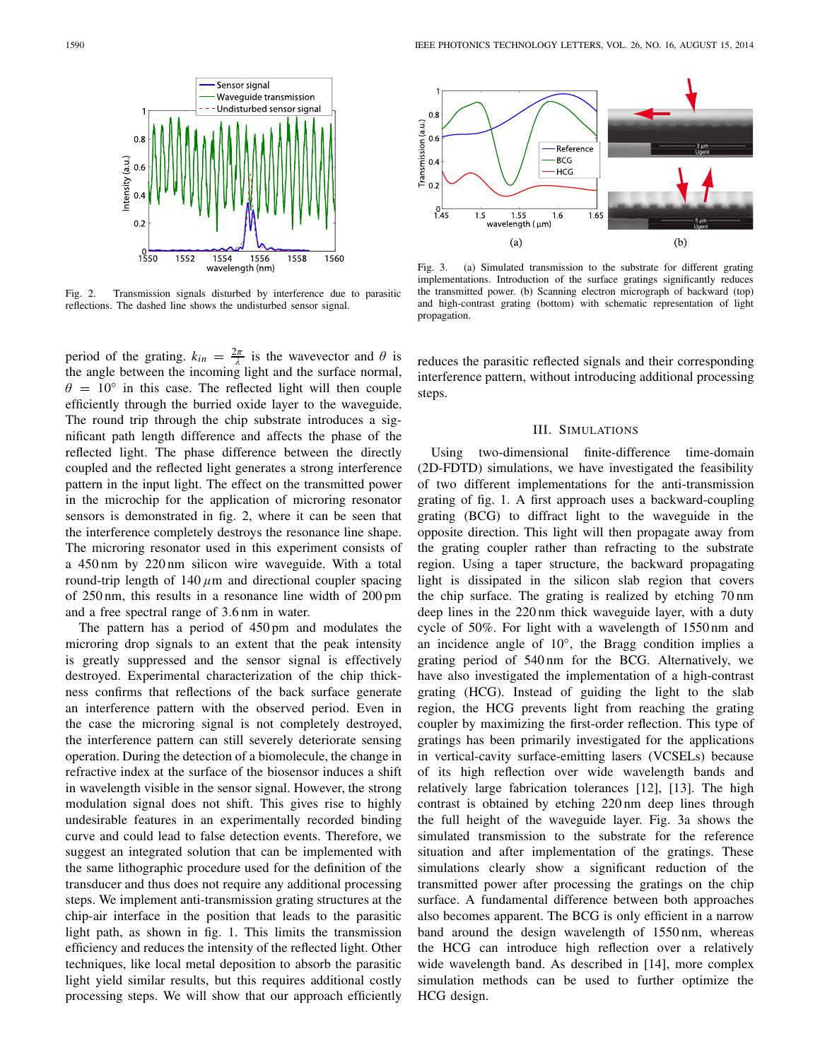

Fig. 2. Transmission signals disturbed by interference due to parasitic reflections. The dashed line shows the undisturbed sensor signal.

period of the grating.  $k_{in} = \frac{2\pi}{\lambda}$  is the wavevector and  $\theta$  is the angle between the incoming light and the surface normal,  $\theta = 10^{\circ}$  in this case. The reflected light will then couple efficiently through the burried oxide layer to the waveguide. The round trip through the chip substrate introduces a significant path length difference and affects the phase of the reflected light. The phase difference between the directly coupled and the reflected light generates a strong interference pattern in the input light. The effect on the transmitted power in the microchip for the application of microring resonator sensors is demonstrated in fig. 2, where it can be seen that the interference completely destroys the resonance line shape. The microring resonator used in this experiment consists of a 450 nm by 220 nm silicon wire waveguide. With a total round-trip length of  $140 \mu m$  and directional coupler spacing of 250 nm, this results in a resonance line width of 200 pm and a free spectral range of 3.6 nm in water.

The pattern has a period of 450 pm and modulates the microring drop signals to an extent that the peak intensity is greatly suppressed and the sensor signal is effectively destroyed. Experimental characterization of the chip thickness confirms that reflections of the back surface generate an interference pattern with the observed period. Even in the case the microring signal is not completely destroyed, the interference pattern can still severely deteriorate sensing operation. During the detection of a biomolecule, the change in refractive index at the surface of the biosensor induces a shift in wavelength visible in the sensor signal. However, the strong modulation signal does not shift. This gives rise to highly undesirable features in an experimentally recorded binding curve and could lead to false detection events. Therefore, we suggest an integrated solution that can be implemented with the same lithographic procedure used for the definition of the transducer and thus does not require any additional processing steps. We implement anti-transmission grating structures at the chip-air interface in the position that leads to the parasitic light path, as shown in fig. 1. This limits the transmission efficiency and reduces the intensity of the reflected light. Other techniques, like local metal deposition to absorb the parasitic light yield similar results, but this requires additional costly processing steps. We will show that our approach efficiently



Fig. 3. (a) Simulated transmission to the substrate for different grating implementations. Introduction of the surface gratings significantly reduces the transmitted power. (b) Scanning electron micrograph of backward (top) and high-contrast grating (bottom) with schematic representation of light propagation.

reduces the parasitic reflected signals and their corresponding interference pattern, without introducing additional processing steps.

### III. SIMULATIONS

Using two-dimensional finite-difference time-domain (2D-FDTD) simulations, we have investigated the feasibility of two different implementations for the anti-transmission grating of fig. 1. A first approach uses a backward-coupling grating (BCG) to diffract light to the waveguide in the opposite direction. This light will then propagate away from the grating coupler rather than refracting to the substrate region. Using a taper structure, the backward propagating light is dissipated in the silicon slab region that covers the chip surface. The grating is realized by etching 70 nm deep lines in the 220 nm thick waveguide layer, with a duty cycle of 50%. For light with a wavelength of 1550 nm and an incidence angle of 10◦, the Bragg condition implies a grating period of 540 nm for the BCG. Alternatively, we have also investigated the implementation of a high-contrast grating (HCG). Instead of guiding the light to the slab region, the HCG prevents light from reaching the grating coupler by maximizing the first-order reflection. This type of gratings has been primarily investigated for the applications in vertical-cavity surface-emitting lasers (VCSELs) because of its high reflection over wide wavelength bands and relatively large fabrication tolerances [12], [13]. The high contrast is obtained by etching 220 nm deep lines through the full height of the waveguide layer. Fig. 3a shows the simulated transmission to the substrate for the reference situation and after implementation of the gratings. These simulations clearly show a significant reduction of the transmitted power after processing the gratings on the chip surface. A fundamental difference between both approaches also becomes apparent. The BCG is only efficient in a narrow band around the design wavelength of 1550 nm, whereas the HCG can introduce high reflection over a relatively wide wavelength band. As described in [14], more complex simulation methods can be used to further optimize the HCG design.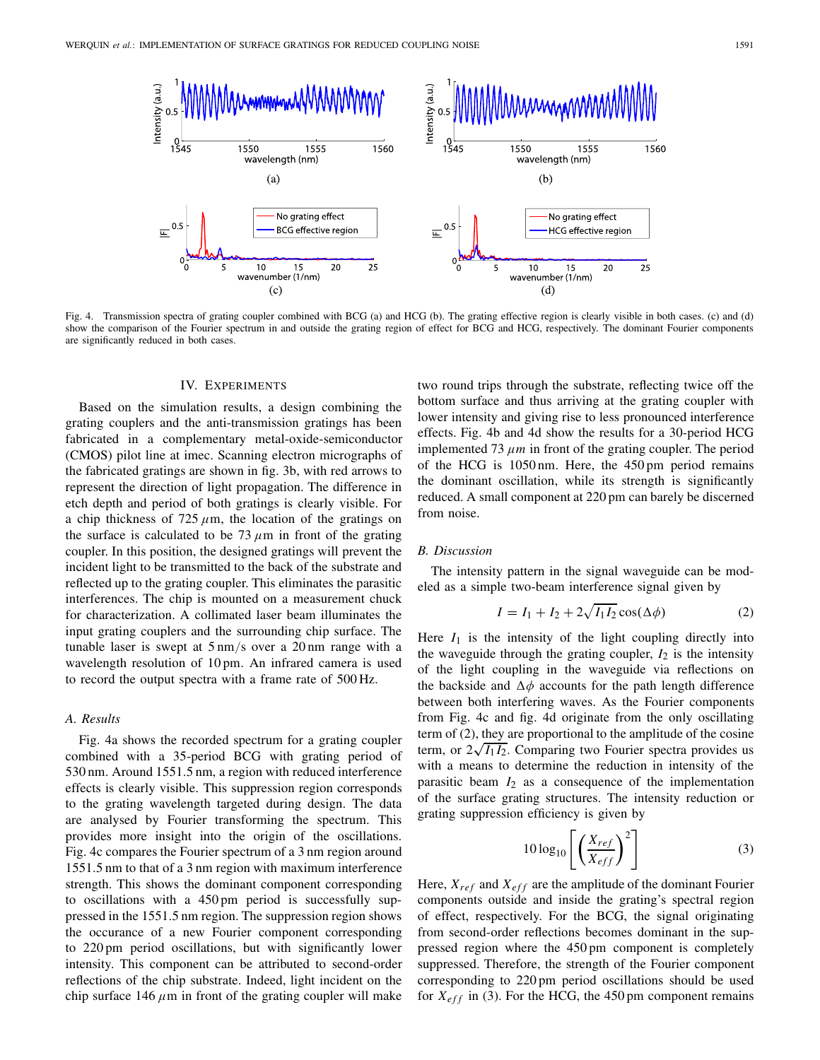

Fig. 4. Transmission spectra of grating coupler combined with BCG (a) and HCG (b). The grating effective region is clearly visible in both cases. (c) and (d) show the comparison of the Fourier spectrum in and outside the grating region of effect for BCG and HCG, respectively. The dominant Fourier components are significantly reduced in both cases.

## IV. EXPERIMENTS

Based on the simulation results, a design combining the grating couplers and the anti-transmission gratings has been fabricated in a complementary metal-oxide-semiconductor (CMOS) pilot line at imec. Scanning electron micrographs of the fabricated gratings are shown in fig. 3b, with red arrows to represent the direction of light propagation. The difference in etch depth and period of both gratings is clearly visible. For a chip thickness of 725  $\mu$ m, the location of the gratings on the surface is calculated to be 73  $\mu$ m in front of the grating coupler. In this position, the designed gratings will prevent the incident light to be transmitted to the back of the substrate and reflected up to the grating coupler. This eliminates the parasitic interferences. The chip is mounted on a measurement chuck for characterization. A collimated laser beam illuminates the input grating couplers and the surrounding chip surface. The tunable laser is swept at 5 nm/s over a 20 nm range with a wavelength resolution of 10 pm. An infrared camera is used to record the output spectra with a frame rate of 500 Hz.

## *A. Results*

Fig. 4a shows the recorded spectrum for a grating coupler combined with a 35-period BCG with grating period of 530 nm. Around 1551.5 nm, a region with reduced interference effects is clearly visible. This suppression region corresponds to the grating wavelength targeted during design. The data are analysed by Fourier transforming the spectrum. This provides more insight into the origin of the oscillations. Fig. 4c compares the Fourier spectrum of a 3 nm region around 1551.5 nm to that of a 3 nm region with maximum interference strength. This shows the dominant component corresponding to oscillations with a 450 pm period is successfully suppressed in the 1551.5 nm region. The suppression region shows the occurance of a new Fourier component corresponding to 220 pm period oscillations, but with significantly lower intensity. This component can be attributed to second-order reflections of the chip substrate. Indeed, light incident on the chip surface 146  $\mu$ m in front of the grating coupler will make

two round trips through the substrate, reflecting twice off the bottom surface and thus arriving at the grating coupler with lower intensity and giving rise to less pronounced interference effects. Fig. 4b and 4d show the results for a 30-period HCG implemented 73 μ*m* in front of the grating coupler. The period of the HCG is 1050 nm. Here, the 450 pm period remains the dominant oscillation, while its strength is significantly reduced. A small component at 220 pm can barely be discerned from noise.

## *B. Discussion*

The intensity pattern in the signal waveguide can be modeled as a simple two-beam interference signal given by

$$
I = I_1 + I_2 + 2\sqrt{I_1 I_2} \cos(\Delta \phi)
$$
 (2)

Here  $I_1$  is the intensity of the light coupling directly into the waveguide through the grating coupler,  $I_2$  is the intensity of the light coupling in the waveguide via reflections on the backside and  $\Delta \phi$  accounts for the path length difference between both interfering waves. As the Fourier components from Fig. 4c and fig. 4d originate from the only oscillating term of (2), they are proportional to the amplitude of the cosine term, or  $2\sqrt{I_1I_2}$ . Comparing two Fourier spectra provides us with a means to determine the reduction in intensity of the parasitic beam  $I_2$  as a consequence of the implementation of the surface grating structures. The intensity reduction or grating suppression efficiency is given by

$$
10\log_{10}\left[\left(\frac{X_{ref}}{X_{eff}}\right)^2\right]
$$
 (3)

Here,  $X_{ref}$  and  $X_{eff}$  are the amplitude of the dominant Fourier components outside and inside the grating's spectral region of effect, respectively. For the BCG, the signal originating from second-order reflections becomes dominant in the suppressed region where the 450 pm component is completely suppressed. Therefore, the strength of the Fourier component corresponding to 220 pm period oscillations should be used for  $X_{eff}$  in (3). For the HCG, the 450 pm component remains